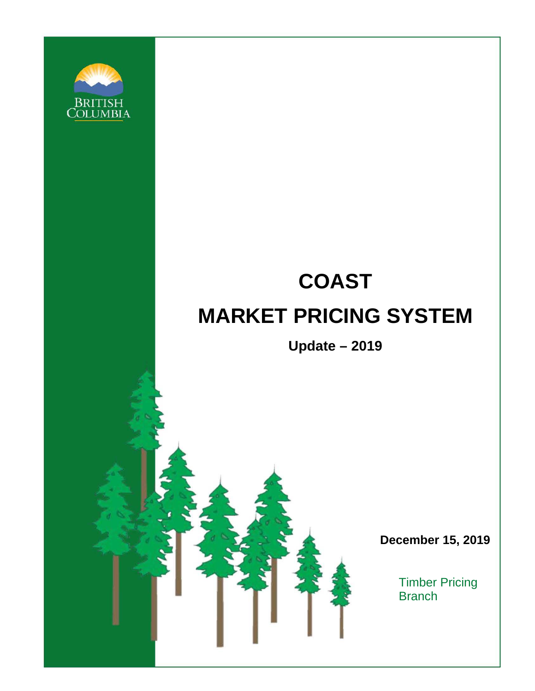

# **COAST MARKET PRICING SYSTEM**

**Update – 2019**

**December 15, 2019**

Timber Pricing **Branch**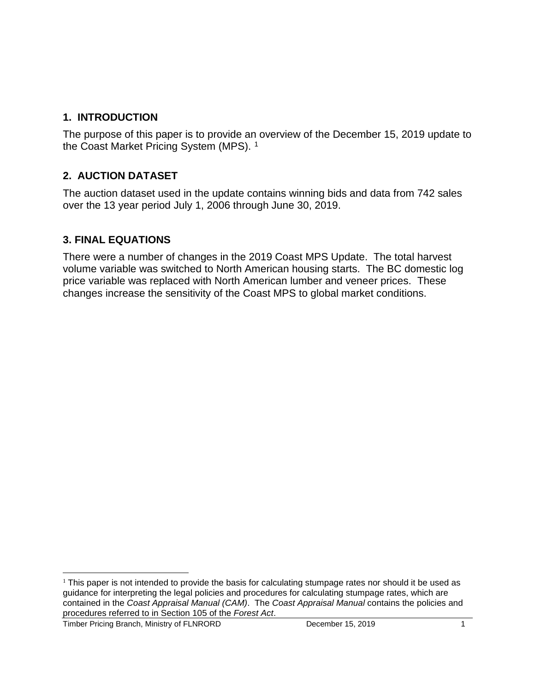# **1. INTRODUCTION**

The purpose of this paper is to provide an overview of the December 15, 2019 update to the Coast Market Pricing System (MPS).<sup>[1](#page-1-0)</sup>

# **2. AUCTION DATASET**

The auction dataset used in the update contains winning bids and data from 742 sales over the 13 year period July 1, 2006 through June 30, 2019.

# **3. FINAL EQUATIONS**

There were a number of changes in the 2019 Coast MPS Update. The total harvest volume variable was switched to North American housing starts. The BC domestic log price variable was replaced with North American lumber and veneer prices. These changes increase the sensitivity of the Coast MPS to global market conditions.

<span id="page-1-0"></span> $1$  This paper is not intended to provide the basis for calculating stumpage rates nor should it be used as guidance for interpreting the legal policies and procedures for calculating stumpage rates, which are contained in the *Coast Appraisal Manual (CAM)*. The *Coast Appraisal Manual* contains the policies and procedures referred to in Section 105 of the *Forest Act*.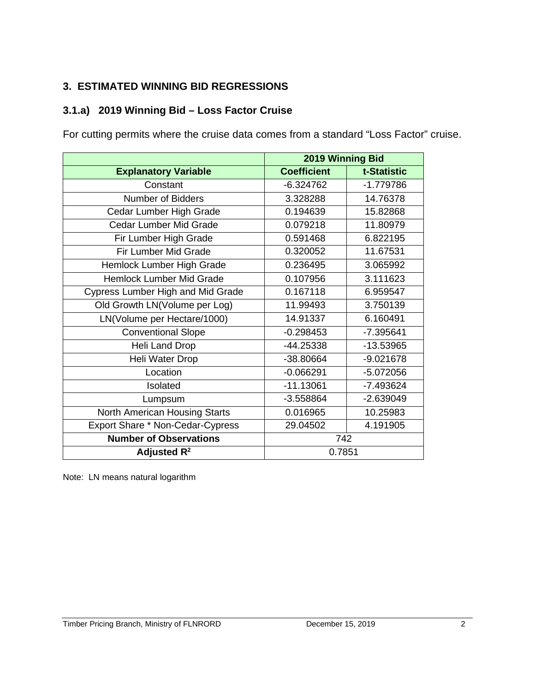# **3. ESTIMATED WINNING BID REGRESSIONS**

# **3.1.a) 2019 Winning Bid – Loss Factor Cruise**

For cutting permits where the cruise data comes from a standard "Loss Factor" cruise.

|                                          | 2019 Winning Bid   |             |
|------------------------------------------|--------------------|-------------|
| <b>Explanatory Variable</b>              | <b>Coefficient</b> | t-Statistic |
| Constant                                 | $-6.324762$        | $-1.779786$ |
| <b>Number of Bidders</b>                 | 3.328288           | 14.76378    |
| Cedar Lumber High Grade                  | 0.194639           | 15.82868    |
| Cedar Lumber Mid Grade                   | 0.079218           | 11.80979    |
| Fir Lumber High Grade                    | 0.591468           | 6.822195    |
| Fir Lumber Mid Grade                     | 0.320052           | 11.67531    |
| Hemlock Lumber High Grade                | 0.236495           | 3.065992    |
| <b>Hemlock Lumber Mid Grade</b>          | 0.107956           | 3.111623    |
| <b>Cypress Lumber High and Mid Grade</b> | 0.167118           | 6.959547    |
| Old Growth LN(Volume per Log)            | 11.99493           | 3.750139    |
| LN(Volume per Hectare/1000)              | 14.91337           | 6.160491    |
| <b>Conventional Slope</b>                | $-0.298453$        | $-7.395641$ |
| Heli Land Drop                           | -44.25338          | -13.53965   |
| Heli Water Drop                          | -38.80664          | $-9.021678$ |
| Location                                 | $-0.066291$        | $-5.072056$ |
| Isolated                                 | $-11.13061$        | -7.493624   |
| Lumpsum                                  | $-3.558864$        | $-2.639049$ |
| North American Housing Starts            | 0.016965           | 10.25983    |
| Export Share * Non-Cedar-Cypress         | 29.04502           | 4.191905    |
| <b>Number of Observations</b>            | 742                |             |
| Adjusted $R^2$                           | 0.7851             |             |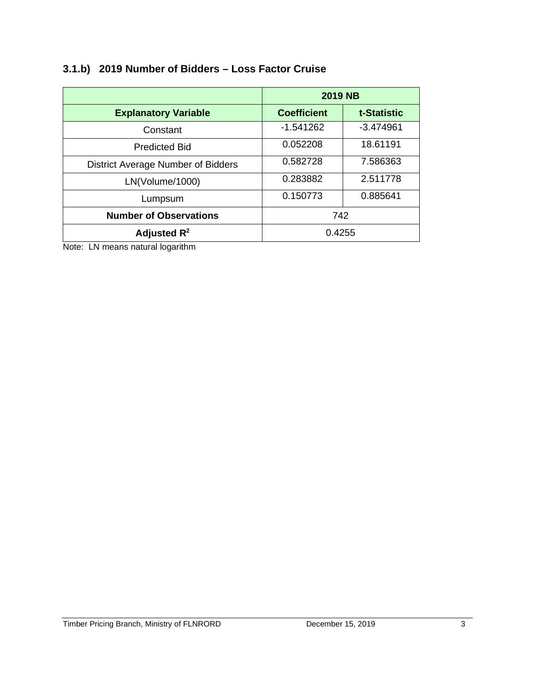# **3.1.b) 2019 Number of Bidders – Loss Factor Cruise**

|                                    | <b>2019 NB</b>     |                    |
|------------------------------------|--------------------|--------------------|
| <b>Explanatory Variable</b>        | <b>Coefficient</b> | <b>t-Statistic</b> |
| Constant                           | $-1.541262$        | $-3.474961$        |
| <b>Predicted Bid</b>               | 0.052208           | 18.61191           |
| District Average Number of Bidders | 0.582728           | 7.586363           |
| LN(Volume/1000)                    | 0.283882           | 2.511778           |
| Lumpsum                            | 0.150773           | 0.885641           |
| <b>Number of Observations</b>      | 742                |                    |
| Adjusted $R^2$                     | 0.4255             |                    |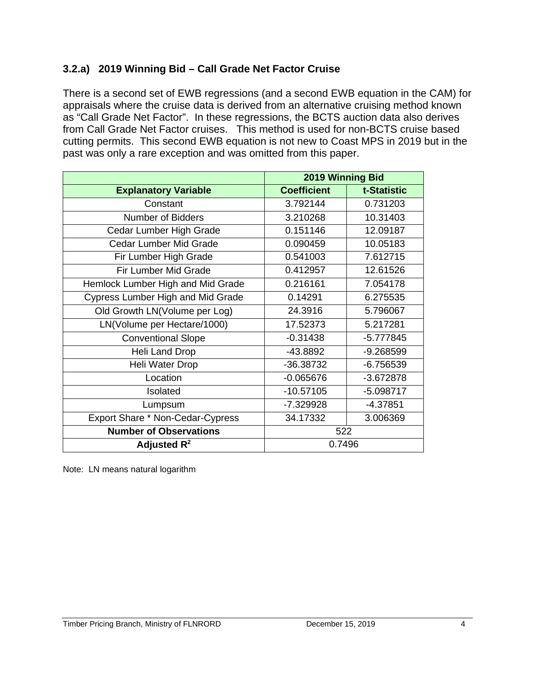# **3.2.a) 2019 Winning Bid – Call Grade Net Factor Cruise**

There is a second set of EWB regressions (and a second EWB equation in the CAM) for appraisals where the cruise data is derived from an alternative cruising method known as "Call Grade Net Factor". In these regressions, the BCTS auction data also derives from Call Grade Net Factor cruises. This method is used for non-BCTS cruise based cutting permits. This second EWB equation is not new to Coast MPS in 2019 but in the past was only a rare exception and was omitted from this paper.

|                                          | 2019 Winning Bid   |             |  |
|------------------------------------------|--------------------|-------------|--|
| <b>Explanatory Variable</b>              | <b>Coefficient</b> | t-Statistic |  |
| Constant                                 | 3.792144           | 0.731203    |  |
| Number of Bidders                        | 3.210268           | 10.31403    |  |
| Cedar Lumber High Grade                  | 0.151146           | 12.09187    |  |
| <b>Cedar Lumber Mid Grade</b>            | 0.090459           | 10.05183    |  |
| Fir Lumber High Grade                    | 0.541003           | 7.612715    |  |
| Fir Lumber Mid Grade                     | 0.412957           | 12.61526    |  |
| Hemlock Lumber High and Mid Grade        | 0.216161           | 7.054178    |  |
| <b>Cypress Lumber High and Mid Grade</b> | 0.14291            | 6.275535    |  |
| Old Growth LN(Volume per Log)            | 24.3916            | 5.796067    |  |
| LN(Volume per Hectare/1000)              | 17.52373           | 5.217281    |  |
| <b>Conventional Slope</b>                | $-0.31438$         | $-5.777845$ |  |
| Heli Land Drop                           | $-43.8892$         | $-9.268599$ |  |
| Heli Water Drop                          | -36.38732          | $-6.756539$ |  |
| Location                                 | $-0.065676$        | $-3.672878$ |  |
| Isolated                                 | $-10.57105$        | $-5.098717$ |  |
| Lumpsum                                  | -7.329928          | $-4.37851$  |  |
| Export Share * Non-Cedar-Cypress         | 34.17332           | 3.006369    |  |
| <b>Number of Observations</b>            | 522                |             |  |
| Adjusted $R^2$                           | 0.7496             |             |  |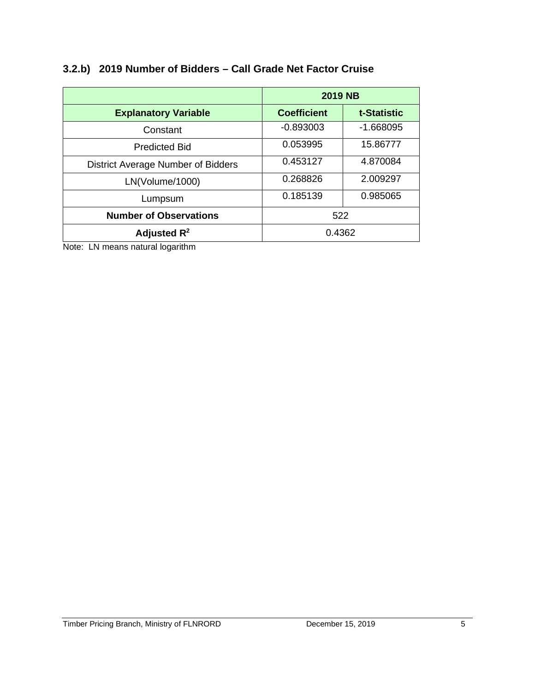|                                    | <b>2019 NB</b>     |             |
|------------------------------------|--------------------|-------------|
| <b>Explanatory Variable</b>        | <b>Coefficient</b> | t-Statistic |
| Constant                           | $-0.893003$        | $-1.668095$ |
| <b>Predicted Bid</b>               | 0.053995           | 15.86777    |
| District Average Number of Bidders | 0.453127           | 4.870084    |
| LN(Volume/1000)                    | 0.268826           | 2.009297    |
| Lumpsum                            | 0.185139           | 0.985065    |

**Number of Observations**  $\vert$  522

**Adjusted R<sup>2</sup>** 20.4362

# **3.2.b) 2019 Number of Bidders – Call Grade Net Factor Cruise**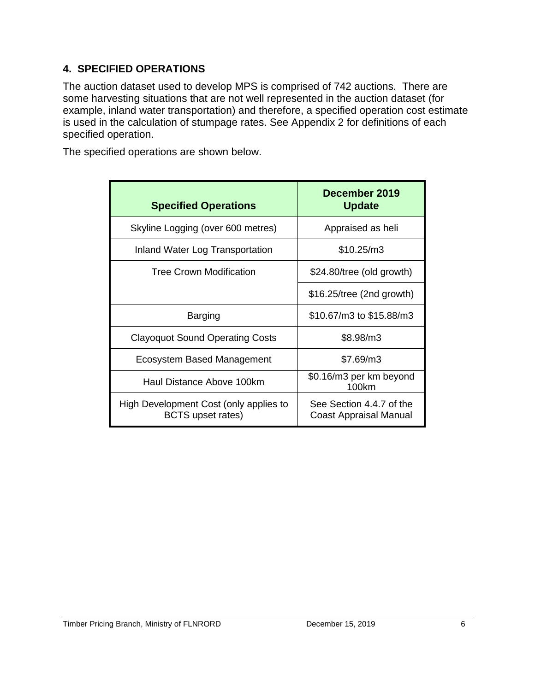# **4. SPECIFIED OPERATIONS**

The auction dataset used to develop MPS is comprised of 742 auctions. There are some harvesting situations that are not well represented in the auction dataset (for example, inland water transportation) and therefore, a specified operation cost estimate is used in the calculation of stumpage rates. See Appendix 2 for definitions of each specified operation.

The specified operations are shown below.

| <b>Specified Operations</b>                                        | December 2019<br><b>Update</b>                     |
|--------------------------------------------------------------------|----------------------------------------------------|
| Skyline Logging (over 600 metres)                                  | Appraised as heli                                  |
| Inland Water Log Transportation                                    | \$10.25/m3                                         |
| <b>Tree Crown Modification</b>                                     | \$24.80/tree (old growth)                          |
|                                                                    | $$16.25$ /tree (2nd growth)                        |
| <b>Barging</b>                                                     | \$10.67/m3 to \$15.88/m3                           |
| <b>Clayoquot Sound Operating Costs</b>                             | \$8.98/m3                                          |
| Ecosystem Based Management                                         | \$7.69/m3                                          |
| Haul Distance Above 100km                                          | \$0.16/m3 per km beyond<br>100km                   |
| High Development Cost (only applies to<br><b>BCTS</b> upset rates) | See Section 4.4.7 of the<br>Coast Appraisal Manual |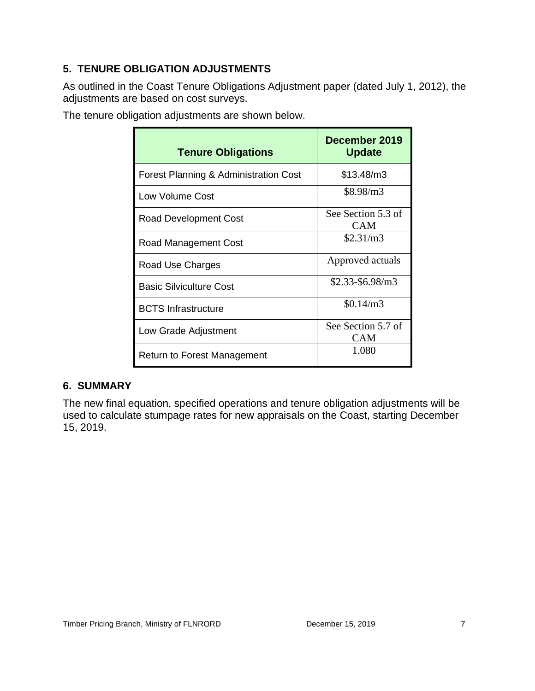# **5. TENURE OBLIGATION ADJUSTMENTS**

As outlined in the Coast Tenure Obligations Adjustment paper (dated July 1, 2012), the adjustments are based on cost surveys.

| The tenure obligation adjustments are shown below. |  |
|----------------------------------------------------|--|
|                                                    |  |

| <b>Tenure Obligations</b>             | December 2019<br><b>Update</b>   |
|---------------------------------------|----------------------------------|
| Forest Planning & Administration Cost | \$13.48/m3                       |
| Low Volume Cost                       | \$8.98/m3                        |
| Road Development Cost                 | See Section 5.3 of<br><b>CAM</b> |
| <b>Road Management Cost</b>           | \$2.31/m3                        |
| Road Use Charges                      | Approved actuals                 |
| <b>Basic Silviculture Cost</b>        | $$2.33-\$6.98/m3$                |
| <b>BCTS</b> Infrastructure            | \$0.14/m3                        |
| Low Grade Adjustment                  | See Section 5.7 of<br><b>CAM</b> |
| Return to Forest Management           | 1.080                            |

# **6. SUMMARY**

The new final equation, specified operations and tenure obligation adjustments will be used to calculate stumpage rates for new appraisals on the Coast, starting December 15, 2019.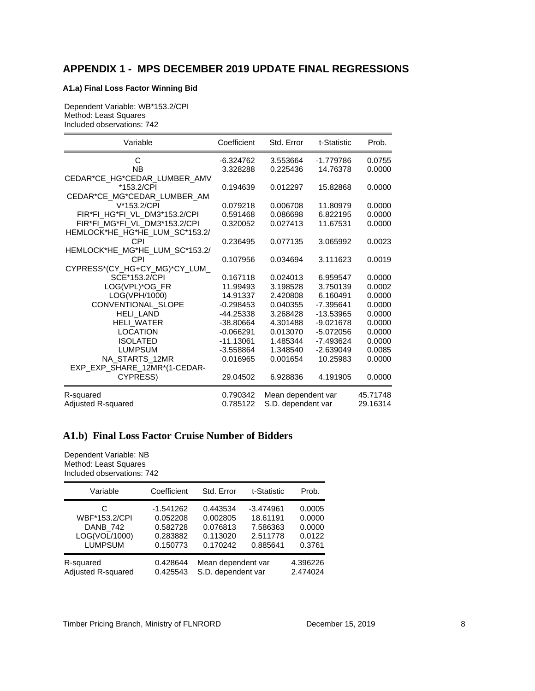# **APPENDIX 1 - MPS DECEMBER 2019 UPDATE FINAL REGRESSIONS**

#### **A1.a) Final Loss Factor Winning Bid**

Dependent Variable: WB\*153.2/CPI Method: Least Squares Included observations: 742

| Variable                       | Coefficient | Std. Error         | t-Statistic | Prob.    |
|--------------------------------|-------------|--------------------|-------------|----------|
| C                              | -6.324762   | 3.553664           | $-1.779786$ | 0.0755   |
| <b>NB</b>                      | 3.328288    | 0.225436           | 14.76378    | 0.0000   |
| CEDAR*CE_HG*CEDAR_LUMBER_AMV   |             |                    |             |          |
| *153.2/CPI                     | 0.194639    | 0.012297           | 15.82868    | 0.0000   |
| CEDAR*CE_MG*CEDAR_LUMBER_AM    |             |                    |             |          |
| V*153.2/CPI                    | 0.079218    | 0.006708           | 11.80979    | 0.0000   |
| FIR*FI_HG*FI_VL_DM3*153.2/CPI  | 0.591468    | 0.086698           | 6.822195    | 0.0000   |
| FIR*FI MG*FI VL DM3*153.2/CPI  | 0.320052    | 0.027413           | 11.67531    | 0.0000   |
| HEMLOCK*HE_HG*HE_LUM_SC*153.2/ |             |                    |             |          |
| CPI                            | 0.236495    | 0.077135           | 3.065992    | 0.0023   |
| HEMLOCK*HE_MG*HE_LUM_SC*153.2/ |             |                    |             |          |
| CPI                            | 0.107956    | 0.034694           | 3.111623    | 0.0019   |
| CYPRESS*(CY_HG+CY_MG)*CY_LUM_  |             |                    |             |          |
| SCE*153.2/CPI                  | 0.167118    | 0.024013           | 6.959547    | 0.0000   |
| LOG(VPL)*OG_FR                 | 11.99493    | 3.198528           | 3.750139    | 0.0002   |
| LOG(VPH/1000)                  | 14.91337    | 2.420808           | 6.160491    | 0.0000   |
| CONVENTIONAL_SLOPE             | $-0.298453$ | 0.040355           | $-7.395641$ | 0.0000   |
| <b>HELI LAND</b>               | $-44.25338$ | 3.268428           | $-13.53965$ | 0.0000   |
| HELI_WATER                     | $-38.80664$ | 4.301488           | $-9.021678$ | 0.0000   |
| <b>LOCATION</b>                | $-0.066291$ | 0.013070           | $-5.072056$ | 0.0000   |
| <b>ISOLATED</b>                | $-11.13061$ | 1.485344           | $-7.493624$ | 0.0000   |
| <b>LUMPSUM</b>                 | $-3.558864$ | 1.348540           | $-2.639049$ | 0.0085   |
| NA STARTS 12MR                 | 0.016965    | 0.001654           | 10.25983    | 0.0000   |
| EXP_EXP_SHARE_12MR*(1-CEDAR-   |             |                    |             |          |
| CYPRESS)                       | 29.04502    | 6.928836           | 4.191905    | 0.0000   |
| R-squared                      | 0.790342    | Mean dependent var |             | 45.71748 |
| Adjusted R-squared             | 0.785122    | S.D. dependent var |             | 29.16314 |

#### **A1.b) Final Loss Factor Cruise Number of Bidders**

Dependent Variable: NB Method: Least Squares Included observations: 742

| Variable           | Coefficient | Std. Error         | t-Statistic | Prob.    |
|--------------------|-------------|--------------------|-------------|----------|
| C                  | $-1.541262$ | 0.443534           | $-3.474961$ | 0.0005   |
| WBF*153.2/CPI      | 0.052208    | 0.002805           | 18.61191    | 0.0000   |
| DANB_742           | 0.582728    | 0.076813           | 7.586363    | 0.0000   |
| LOG(VOL/1000)      | 0.283882    | 0.113020           | 2.511778    | 0.0122   |
| <b>LUMPSUM</b>     | 0.150773    | 0.170242           | 0.885641    | 0.3761   |
| R-squared          | 0.428644    | Mean dependent var |             | 4.396226 |
| Adjusted R-squared | 0.425543    | S.D. dependent var |             | 2.474024 |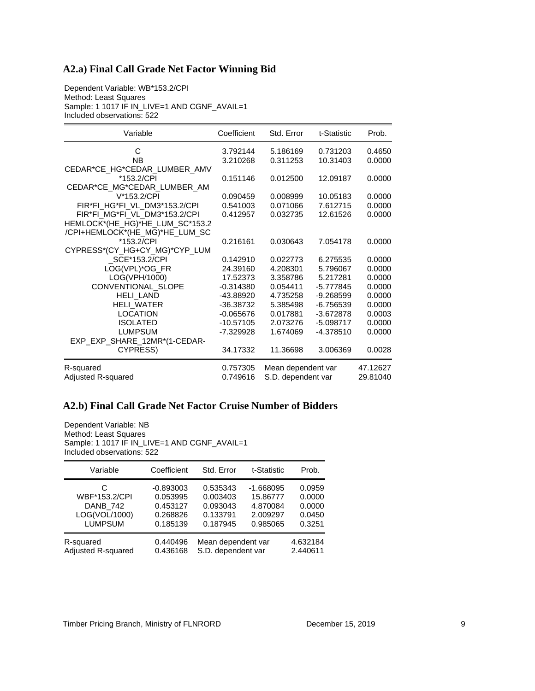#### **A2.a) Final Call Grade Net Factor Winning Bid**

Dependent Variable: WB\*153.2/CPI Method: Least Squares Sample: 1 1017 IF IN\_LIVE=1 AND CGNF\_AVAIL=1 Included observations: 522

| Variable                        | Coefficient | Std. Error         | t-Statistic | Prob.    |
|---------------------------------|-------------|--------------------|-------------|----------|
| C                               | 3.792144    | 5.186169           | 0.731203    | 0.4650   |
| <b>NB</b>                       | 3.210268    | 0.311253           | 10.31403    | 0.0000   |
| CEDAR*CE_HG*CEDAR_LUMBER_AMV    |             |                    |             |          |
| *153.2/CPI                      | 0.151146    | 0.012500           | 12.09187    | 0.0000   |
| CEDAR*CE MG*CEDAR LUMBER AM     |             |                    |             |          |
| V*153.2/CPI                     | 0.090459    | 0.008999           | 10.05183    | 0.0000   |
| FIR*FI HG*FI VL DM3*153.2/CPI   | 0.541003    | 0.071066           | 7.612715    | 0.0000   |
| FIR*FI_MG*FI_VL_DM3*153.2/CPI   | 0.412957    | 0.032735           | 12.61526    | 0.0000   |
| HEMLOCK*(HE_HG)*HE_LUM_SC*153.2 |             |                    |             |          |
| /CPI+HEMLOCK*(HE_MG)*HE_LUM_SC  |             |                    |             |          |
| *153.2/CPI                      | 0.216161    | 0.030643           | 7.054178    | 0.0000   |
| CYPRESS*(CY_HG+CY_MG)*CYP_LUM   |             |                    |             |          |
| SCE*153.2/CPI                   | 0.142910    | 0.022773           | 6.275535    | 0.0000   |
| LOG(VPL)*OG_FR                  | 24.39160    | 4.208301           | 5.796067    | 0.0000   |
| LOG(VPH/1000)                   | 17.52373    | 3.358786           | 5.217281    | 0.0000   |
| CONVENTIONAL SLOPE              | $-0.314380$ | 0.054411           | $-5.777845$ | 0.0000   |
| <b>HELI LAND</b>                | -43.88920   | 4.735258           | $-9.268599$ | 0.0000   |
| <b>HELI_WATER</b>               | $-36.38732$ | 5.385498           | $-6.756539$ | 0.0000   |
| <b>LOCATION</b>                 | $-0.065676$ | 0.017881           | $-3.672878$ | 0.0003   |
| <b>ISOLATED</b>                 | $-10.57105$ | 2.073276           | $-5.098717$ | 0.0000   |
| <b>LUMPSUM</b>                  | -7.329928   | 1.674069           | $-4.378510$ | 0.0000   |
| EXP_EXP_SHARE_12MR*(1-CEDAR-    |             |                    |             |          |
| CYPRESS)                        | 34.17332    | 11.36698           | 3.006369    | 0.0028   |
| R-squared                       | 0.757305    | Mean dependent var |             | 47.12627 |
| Adjusted R-squared              | 0.749616    | S.D. dependent var |             | 29.81040 |

### **A2.b) Final Call Grade Net Factor Cruise Number of Bidders**

Dependent Variable: NB Method: Least Squares Sample: 1 1017 IF IN\_LIVE=1 AND CGNF\_AVAIL=1 Included observations: 522

| Variable           | Coefficient | Std. Error         | t-Statistic | Prob.    |
|--------------------|-------------|--------------------|-------------|----------|
| C                  | $-0.893003$ | 0.535343           | $-1.668095$ | 0.0959   |
| WBF*153.2/CPI      | 0.053995    | 0.003403           | 15.86777    | 0.0000   |
| <b>DANB 742</b>    | 0.453127    | 0.093043           | 4.870084    | 0.0000   |
| LOG(VOL/1000)      | 0.268826    | 0.133791           | 2.009297    | 0.0450   |
| <b>LUMPSUM</b>     | 0.185139    | 0.187945           | 0.985065    | 0.3251   |
| R-squared          | 0.440496    | Mean dependent var |             | 4.632184 |
| Adjusted R-squared | 0.436168    | S.D. dependent var |             | 2.440611 |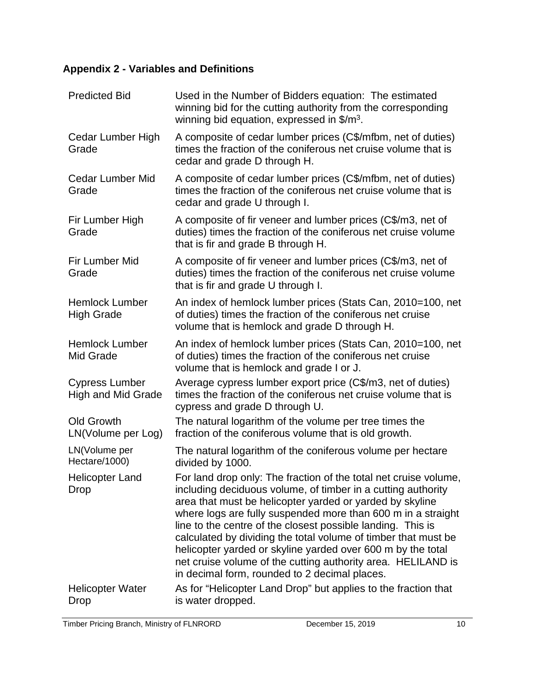# **Appendix 2 - Variables and Definitions**

| <b>Predicted Bid</b>                               | Used in the Number of Bidders equation: The estimated<br>winning bid for the cutting authority from the corresponding<br>winning bid equation, expressed in $\frac{m^3}{2}$ .                                                                                                                                                                                                                                                                                                                                                                                                |
|----------------------------------------------------|------------------------------------------------------------------------------------------------------------------------------------------------------------------------------------------------------------------------------------------------------------------------------------------------------------------------------------------------------------------------------------------------------------------------------------------------------------------------------------------------------------------------------------------------------------------------------|
| Cedar Lumber High<br>Grade                         | A composite of cedar lumber prices (C\$/mfbm, net of duties)<br>times the fraction of the coniferous net cruise volume that is<br>cedar and grade D through H.                                                                                                                                                                                                                                                                                                                                                                                                               |
| <b>Cedar Lumber Mid</b><br>Grade                   | A composite of cedar lumber prices (C\$/mfbm, net of duties)<br>times the fraction of the coniferous net cruise volume that is<br>cedar and grade U through I.                                                                                                                                                                                                                                                                                                                                                                                                               |
| Fir Lumber High<br>Grade                           | A composite of fir veneer and lumber prices (C\$/m3, net of<br>duties) times the fraction of the coniferous net cruise volume<br>that is fir and grade B through H.                                                                                                                                                                                                                                                                                                                                                                                                          |
| Fir Lumber Mid<br>Grade                            | A composite of fir veneer and lumber prices (C\$/m3, net of<br>duties) times the fraction of the coniferous net cruise volume<br>that is fir and grade U through I.                                                                                                                                                                                                                                                                                                                                                                                                          |
| <b>Hemlock Lumber</b><br><b>High Grade</b>         | An index of hemlock lumber prices (Stats Can, 2010=100, net<br>of duties) times the fraction of the coniferous net cruise<br>volume that is hemlock and grade D through H.                                                                                                                                                                                                                                                                                                                                                                                                   |
| <b>Hemlock Lumber</b><br><b>Mid Grade</b>          | An index of hemlock lumber prices (Stats Can, 2010=100, net<br>of duties) times the fraction of the coniferous net cruise<br>volume that is hemlock and grade I or J.                                                                                                                                                                                                                                                                                                                                                                                                        |
| <b>Cypress Lumber</b><br><b>High and Mid Grade</b> | Average cypress lumber export price (C\$/m3, net of duties)<br>times the fraction of the coniferous net cruise volume that is<br>cypress and grade D through U.                                                                                                                                                                                                                                                                                                                                                                                                              |
| <b>Old Growth</b><br>LN(Volume per Log)            | The natural logarithm of the volume per tree times the<br>fraction of the coniferous volume that is old growth.                                                                                                                                                                                                                                                                                                                                                                                                                                                              |
| LN(Volume per<br>Hectare/1000)                     | The natural logarithm of the coniferous volume per hectare<br>divided by 1000.                                                                                                                                                                                                                                                                                                                                                                                                                                                                                               |
| <b>Helicopter Land</b><br><b>Drop</b>              | For land drop only: The fraction of the total net cruise volume<br>including deciduous volume, of timber in a cutting authority<br>area that must be helicopter yarded or yarded by skyline<br>where logs are fully suspended more than 600 m in a straight<br>line to the centre of the closest possible landing. This is<br>calculated by dividing the total volume of timber that must be<br>helicopter yarded or skyline yarded over 600 m by the total<br>net cruise volume of the cutting authority area. HELILAND is<br>in decimal form, rounded to 2 decimal places. |
| <b>Helicopter Water</b><br>Drop                    | As for "Helicopter Land Drop" but applies to the fraction that<br>is water dropped.                                                                                                                                                                                                                                                                                                                                                                                                                                                                                          |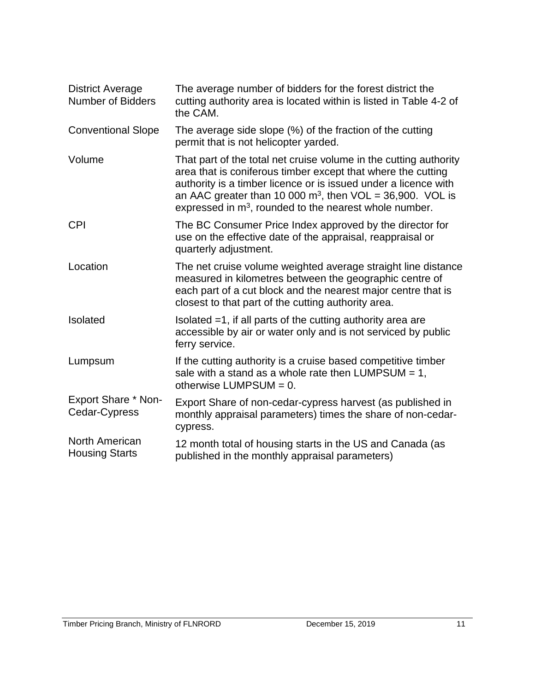| <b>District Average</b><br><b>Number of Bidders</b> | The average number of bidders for the forest district the<br>cutting authority area is located within is listed in Table 4-2 of<br>the CAM.                                                                                                                                                                                                |
|-----------------------------------------------------|--------------------------------------------------------------------------------------------------------------------------------------------------------------------------------------------------------------------------------------------------------------------------------------------------------------------------------------------|
| <b>Conventional Slope</b>                           | The average side slope (%) of the fraction of the cutting<br>permit that is not helicopter yarded.                                                                                                                                                                                                                                         |
| Volume                                              | That part of the total net cruise volume in the cutting authority<br>area that is coniferous timber except that where the cutting<br>authority is a timber licence or is issued under a licence with<br>an AAC greater than 10 000 $m^3$ , then VOL = 36,900. VOL is<br>expressed in m <sup>3</sup> , rounded to the nearest whole number. |
| <b>CPI</b>                                          | The BC Consumer Price Index approved by the director for<br>use on the effective date of the appraisal, reappraisal or<br>quarterly adjustment.                                                                                                                                                                                            |
| Location                                            | The net cruise volume weighted average straight line distance<br>measured in kilometres between the geographic centre of<br>each part of a cut block and the nearest major centre that is<br>closest to that part of the cutting authority area.                                                                                           |
| Isolated                                            | Isolated $=1$ , if all parts of the cutting authority area are<br>accessible by air or water only and is not serviced by public<br>ferry service.                                                                                                                                                                                          |
| Lumpsum                                             | If the cutting authority is a cruise based competitive timber<br>sale with a stand as a whole rate then LUMPSUM $= 1$ ,<br>otherwise LUMPSUM = $0$ .                                                                                                                                                                                       |
| <b>Export Share * Non-</b><br>Cedar-Cypress         | Export Share of non-cedar-cypress harvest (as published in<br>monthly appraisal parameters) times the share of non-cedar-<br>cypress.                                                                                                                                                                                                      |
| North American<br><b>Housing Starts</b>             | 12 month total of housing starts in the US and Canada (as<br>published in the monthly appraisal parameters)                                                                                                                                                                                                                                |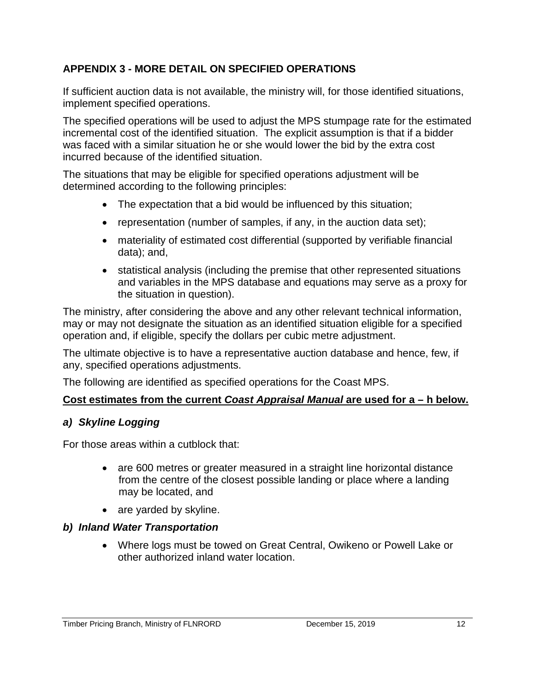# **APPENDIX 3 - MORE DETAIL ON SPECIFIED OPERATIONS**

If sufficient auction data is not available, the ministry will, for those identified situations, implement specified operations.

The specified operations will be used to adjust the MPS stumpage rate for the estimated incremental cost of the identified situation. The explicit assumption is that if a bidder was faced with a similar situation he or she would lower the bid by the extra cost incurred because of the identified situation.

The situations that may be eligible for specified operations adjustment will be determined according to the following principles:

- The expectation that a bid would be influenced by this situation;
- representation (number of samples, if any, in the auction data set);
- materiality of estimated cost differential (supported by verifiable financial data); and,
- statistical analysis (including the premise that other represented situations and variables in the MPS database and equations may serve as a proxy for the situation in question).

The ministry, after considering the above and any other relevant technical information, may or may not designate the situation as an identified situation eligible for a specified operation and, if eligible, specify the dollars per cubic metre adjustment.

The ultimate objective is to have a representative auction database and hence, few, if any, specified operations adjustments.

The following are identified as specified operations for the Coast MPS.

# **Cost estimates from the current** *Coast Appraisal Manual* **are used for a – h below.**

# *a) Skyline Logging*

For those areas within a cutblock that:

- are 600 metres or greater measured in a straight line horizontal distance from the centre of the closest possible landing or place where a landing may be located, and
- are yarded by skyline.

# *b) Inland Water Transportation*

• Where logs must be towed on Great Central, Owikeno or Powell Lake or other authorized inland water location.